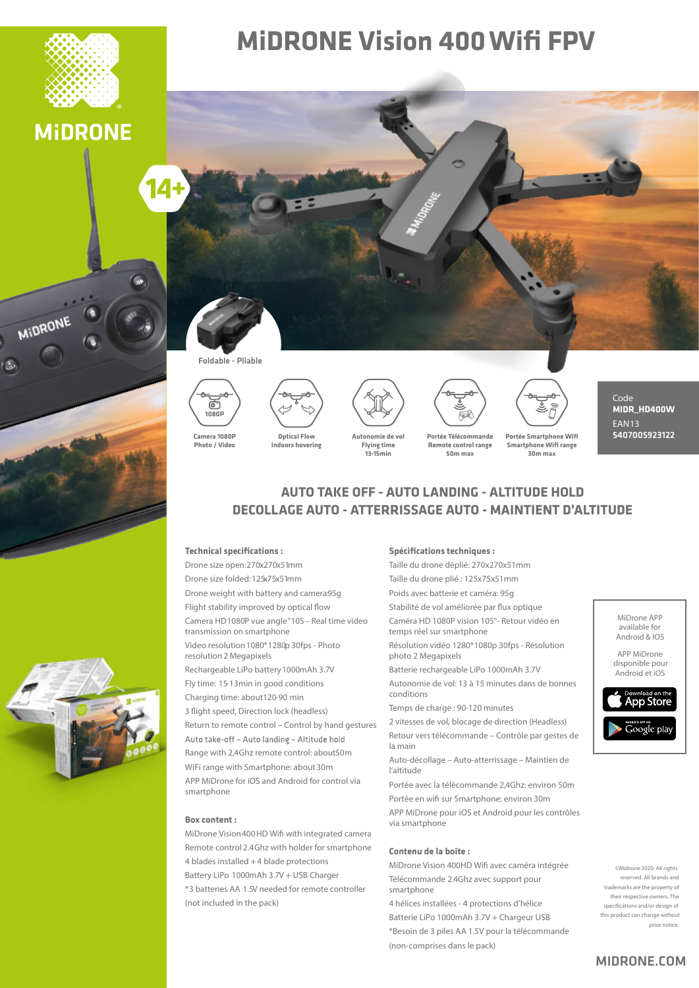

**MIDRONE** 

MIDRONE

## **MiDRONE Vision 400 Wifi FPV**



#### Foldable - Pliable



**Photo / Video**









Code **MIDR\_HD400W** EAN13 5407005923122

**13-15min**

**Remote control range 50m max**

**Portée Smartphone Wifi Smartphone Wifi range 30m max**

### **AUTO TAKE OFF - AUTO LANDING - ALTITUDE HOLD DECOLLAGE AUTO - ATTERRISSAGE AUTO - MAINTIENT D'ALTITUDE**

#### **Technical specifications :**

Drone size open: 270x270x51mm Drone size folded: 125x75x51mm Drone weight with battery and camera95g Flight stability improved by optical flow Camera HD 1080P vue angle °105 – Real time video transmission on smartphone Video resolution 1080\*1280p 30fps - Photo resolution 2 Megapixels

Rechargeable LiPo battery 1000mAh 3.7V

Fly time: 15-13 min in good conditions

Charging time: about 120-90 min

3 flight speed, Direction lock (headless) Return to remote control – Control by hand gestures Auto take-off - Auto landing - Altitude hold Range with 2,4Ghz remote control: about 50m WiFi range with Smartphone: about 30m APP MiDrone for iOS and Android for control via smartphone

#### **Box content :**

MiDrone Vision 400HD Wifi with integrated camera Remote control 2.4Ghz with holder for smartphone 4 blades installed + 4 blade protections Battery LiPo 1000mAh 3.7V + USB Charger \*3 batteries AA 1.5V needed for remote controller (not included in the pack)

#### **Spécifications techniques :**

Taille du drone déplié: 270x270x51mm Taille du drone plié : 125x75x51mm Poids avec batterie et caméra: 95g Stabilité de vol améliorée par flux optique Caméra HD 1080P vision 105°- Retour vidéo en temps réel sur smartphone

Résolution vidéo 1280\*1080p 30fps - Résolution photo 2 Megapixels

Batterie rechargeable LiPo 1000mAh 3.7V

Autonomie de vol: 13 à 15 minutes dans de bonnes conditions

Temps de charge : 90-120 minutes

2 vitesses de vol, blocage de direction (Headless) Retour vers télécommande – Contrôle par gestes de la main

Auto-décollage – Auto-atterrissage – Maintien de l'altitude

Portée avec la télécommande 2,4Ghz: environ 50m Portée en wifi sur Smartphone: environ 30m

APP MiDrone pour iOS et Android pour les contrôles via smartphone

#### **Contenu de la boîte :**

MiDrone Vision 400HD Wifi avec caméra intégrée Télécommande 2.4Ghz avec support pour smartphone

4 hélices installées - 4 protections d'hélice Batterie LiPo 1000mAh 3.7V + Chargeur USB \*Besoin de 3 piles AA 1.5V pour la télécommande (non-comprises dans le pack)

MiDrone APP available for Android & IOS

APP MiDrone disponible pour Android et iOS



©Midrone 2020. All rights reserved. All brands and trademarks are the property of their respective owners. The specifications and/or design of this product can change without prior notice.